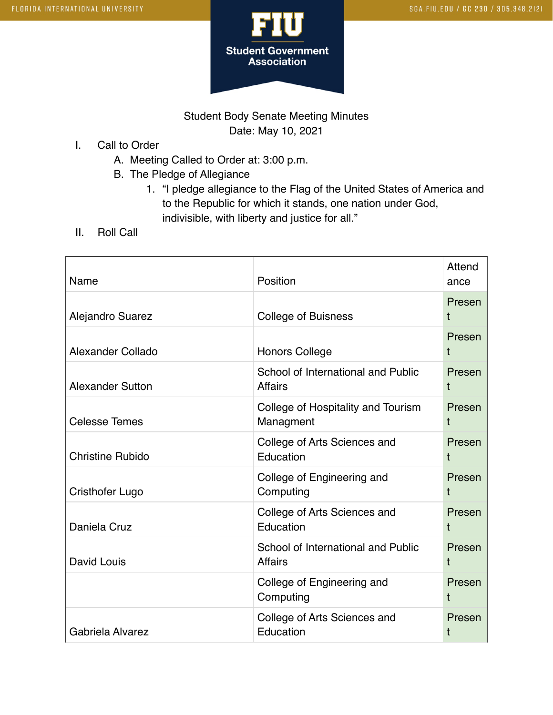

## Student Body Senate Meeting Minutes Date: May 10, 2021

- I. Call to Order
	- A. Meeting Called to Order at: 3:00 p.m.
	- B. The Pledge of Allegiance
		- 1. "I pledge allegiance to the Flag of the United States of America and to the Republic for which it stands, one nation under God, indivisible, with liberty and justice for all."
- II. Roll Call

| Name                    | Position                                             | Attend<br>ance |
|-------------------------|------------------------------------------------------|----------------|
| Alejandro Suarez        | <b>College of Buisness</b>                           | Presen<br>t    |
| Alexander Collado       | <b>Honors College</b>                                | Presen<br>t    |
| <b>Alexander Sutton</b> | School of International and Public<br><b>Affairs</b> | Presen<br>t    |
| <b>Celesse Temes</b>    | College of Hospitality and Tourism<br>Managment      | Presen<br>t    |
| <b>Christine Rubido</b> | College of Arts Sciences and<br>Education            | Presen<br>t    |
| Cristhofer Lugo         | College of Engineering and<br>Computing              | Presen<br>t    |
| Daniela Cruz            | College of Arts Sciences and<br>Education            | Presen<br>t    |
| David Louis             | School of International and Public<br><b>Affairs</b> | Presen<br>t    |
|                         | College of Engineering and<br>Computing              | Presen<br>t    |
| Gabriela Alvarez        | College of Arts Sciences and<br>Education            | Presen<br>t    |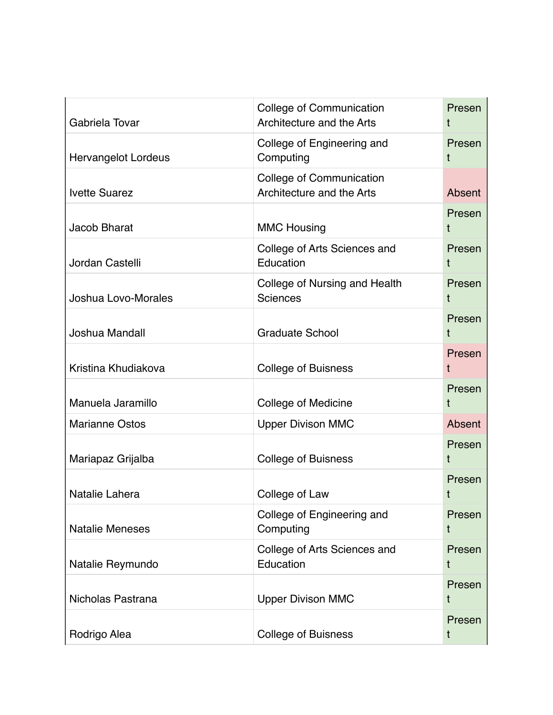| Gabriela Tovar             | <b>College of Communication</b><br>Architecture and the Arts | Presen<br>t   |
|----------------------------|--------------------------------------------------------------|---------------|
| <b>Hervangelot Lordeus</b> | College of Engineering and<br>Computing                      | Presen<br>t   |
| <b>Ivette Suarez</b>       | <b>College of Communication</b><br>Architecture and the Arts | Absent        |
| Jacob Bharat               | <b>MMC Housing</b>                                           | Presen<br>t   |
| Jordan Castelli            | College of Arts Sciences and<br>Education                    | Presen<br>t   |
| Joshua Lovo-Morales        | College of Nursing and Health<br>Sciences                    | Presen        |
| Joshua Mandall             | <b>Graduate School</b>                                       | Presen<br>t   |
| Kristina Khudiakova        | <b>College of Buisness</b>                                   | Presen<br>t   |
| Manuela Jaramillo          | <b>College of Medicine</b>                                   | Presen<br>t   |
| <b>Marianne Ostos</b>      | <b>Upper Divison MMC</b>                                     | <b>Absent</b> |
| Mariapaz Grijalba          | <b>College of Buisness</b>                                   | Presen<br>t   |
| Natalie Lahera             | College of Law                                               | Presen<br>t   |
| <b>Natalie Meneses</b>     | College of Engineering and<br>Computing                      | Presen<br>t   |
| Natalie Reymundo           | College of Arts Sciences and<br>Education                    | Presen<br>t   |
| Nicholas Pastrana          | <b>Upper Divison MMC</b>                                     | Presen<br>t   |
| Rodrigo Alea               | <b>College of Buisness</b>                                   | Presen<br>t   |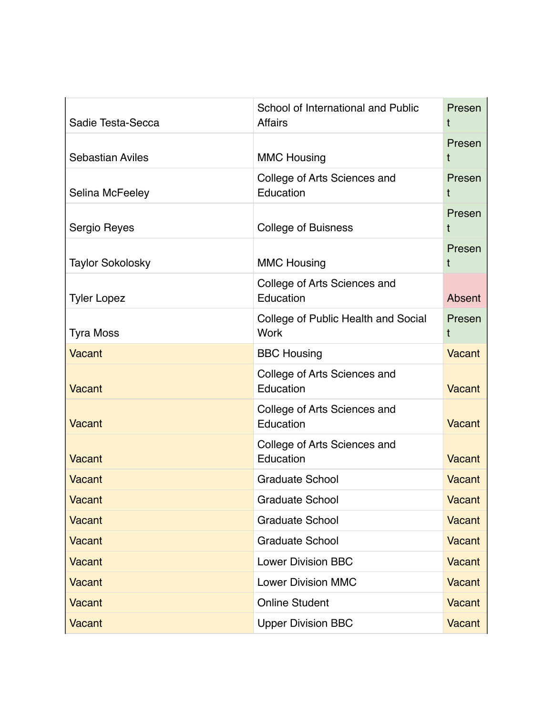| Sadie Testa-Secca       | School of International and Public<br><b>Affairs</b> | Presen<br>t   |
|-------------------------|------------------------------------------------------|---------------|
| <b>Sebastian Aviles</b> | <b>MMC Housing</b>                                   | Presen        |
| Selina McFeeley         | College of Arts Sciences and<br>Education            | Presen<br>t   |
| Sergio Reyes            | <b>College of Buisness</b>                           | Presen<br>t   |
| <b>Taylor Sokolosky</b> | <b>MMC Housing</b>                                   | Presen<br>t   |
| <b>Tyler Lopez</b>      | College of Arts Sciences and<br>Education            | Absent        |
| <b>Tyra Moss</b>        | College of Public Health and Social<br><b>Work</b>   | Presen<br>t   |
| <b>Vacant</b>           | <b>BBC Housing</b>                                   | Vacant        |
| <b>Vacant</b>           | College of Arts Sciences and<br>Education            | <b>Vacant</b> |
| <b>Vacant</b>           | College of Arts Sciences and<br>Education            | Vacant        |
| <b>Vacant</b>           | College of Arts Sciences and<br>Education            | Vacant        |
| <b>Vacant</b>           | <b>Graduate School</b>                               | Vacant        |
| Vacant                  | Graduate School                                      | Vacant        |
| <b>Vacant</b>           | <b>Graduate School</b>                               | Vacant        |
| <b>Vacant</b>           | <b>Graduate School</b>                               | <b>Vacant</b> |
| Vacant                  | <b>Lower Division BBC</b>                            | Vacant        |
| Vacant                  | <b>Lower Division MMC</b>                            | Vacant        |
| <b>Vacant</b>           | <b>Online Student</b>                                | Vacant        |
| Vacant                  | <b>Upper Division BBC</b>                            | Vacant        |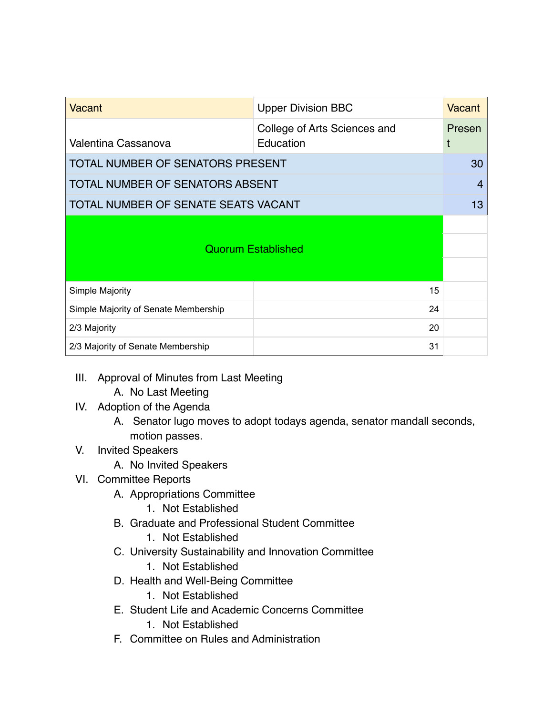| Vacant                                  | <b>Upper Division BBC</b>    | Vacant         |
|-----------------------------------------|------------------------------|----------------|
|                                         | College of Arts Sciences and | Presen         |
| Valentina Cassanova                     | Education                    | t              |
| <b>TOTAL NUMBER OF SENATORS PRESENT</b> |                              |                |
| TOTAL NUMBER OF SENATORS ABSENT         |                              | $\overline{4}$ |
| TOTAL NUMBER OF SENATE SEATS VACANT     |                              | 13             |
|                                         |                              |                |
|                                         | <b>Quorum Established</b>    |                |
|                                         |                              |                |
| Simple Majority                         | 15                           |                |
| Simple Majority of Senate Membership    | 24                           |                |
| 2/3 Majority                            | 20                           |                |
| 2/3 Majority of Senate Membership       | 31                           |                |

- III. Approval of Minutes from Last Meeting
	- A. No Last Meeting
- IV. Adoption of the Agenda
	- A. Senator lugo moves to adopt todays agenda, senator mandall seconds, motion passes.

## V. Invited Speakers

A. No Invited Speakers

## VI. Committee Reports

- A. Appropriations Committee
	- 1. Not Established
- B. Graduate and Professional Student Committee
	- 1. Not Established
- C. University Sustainability and Innovation Committee
	- 1. Not Established
- D. Health and Well-Being Committee
	- 1. Not Established
- E. Student Life and Academic Concerns Committee
	- 1. Not Established
- F. Committee on Rules and Administration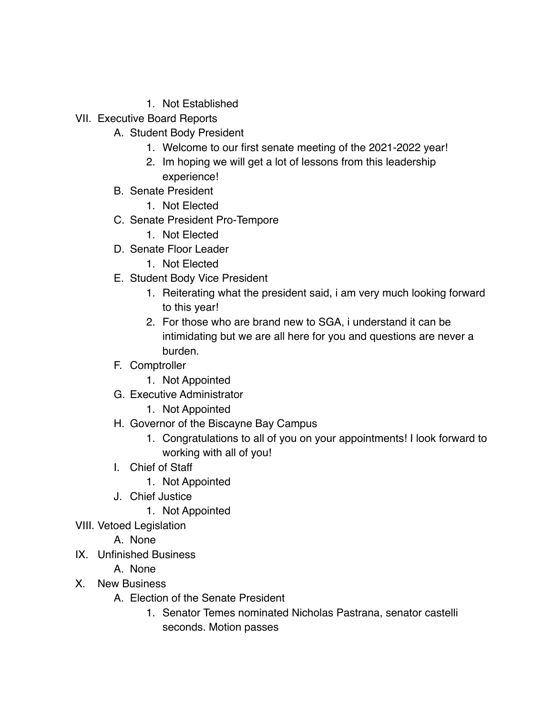- 1. Not Established
- VII. Executive Board Reports
	- A. Student Body President
		- 1. Welcome to our first senate meeting of the 2021-2022 year!
		- 2. Im hoping we will get a lot of lessons from this leadership experience!
	- B. Senate President
		- 1. Not Elected
	- C. Senate President Pro-Tempore
		- 1. Not Elected
	- D. Senate Floor Leader
		- 1. Not Elected
	- E. Student Body Vice President
		- 1. Reiterating what the president said, i am very much looking forward to this year!
		- 2. For those who are brand new to SGA, i understand it can be intimidating but we are all here for you and questions are never a burden.
	- F. Comptroller
		- 1. Not Appointed
	- G. Executive Administrator
		- 1. Not Appointed
	- H. Governor of the Biscayne Bay Campus
		- 1. Congratulations to all of you on your appointments! I look forward to working with all of you!
	- I. Chief of Staff
		- 1. Not Appointed
	- J. Chief Justice
		- 1. Not Appointed
- VIII. Vetoed Legislation
	- A. None
- IX. Unfinished Business
	- A. None
- X. New Business
	- A. Election of the Senate President
		- 1. Senator Temes nominated Nicholas Pastrana, senator castelli seconds. Motion passes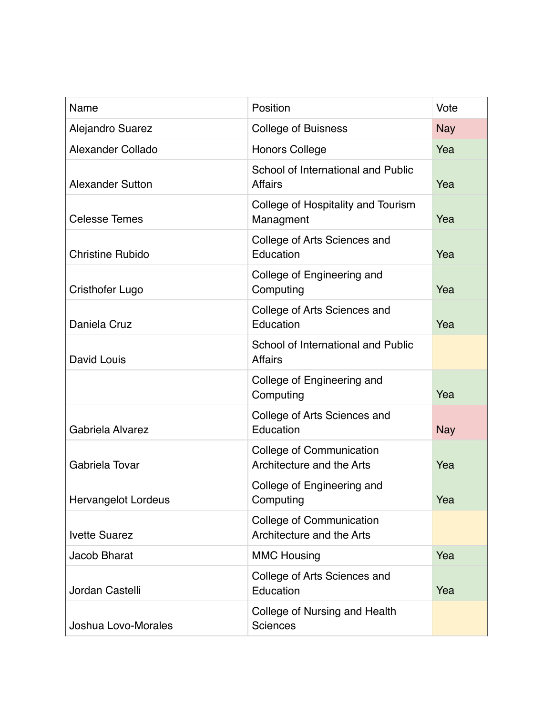| Name                       | Position                                                     | Vote       |
|----------------------------|--------------------------------------------------------------|------------|
| <b>Alejandro Suarez</b>    | <b>College of Buisness</b>                                   | <b>Nay</b> |
| Alexander Collado          | <b>Honors College</b>                                        | Yea        |
| <b>Alexander Sutton</b>    | School of International and Public<br><b>Affairs</b>         | Yea        |
| <b>Celesse Temes</b>       | College of Hospitality and Tourism<br>Managment              | Yea        |
| <b>Christine Rubido</b>    | College of Arts Sciences and<br>Education                    | Yea        |
| <b>Cristhofer Lugo</b>     | College of Engineering and<br>Computing                      | Yea        |
| Daniela Cruz               | College of Arts Sciences and<br>Education                    | Yea        |
| David Louis                | School of International and Public<br><b>Affairs</b>         |            |
|                            | College of Engineering and<br>Computing                      | Yea        |
| Gabriela Alvarez           | College of Arts Sciences and<br>Education                    | <b>Nay</b> |
| Gabriela Tovar             | <b>College of Communication</b><br>Architecture and the Arts | Yea        |
| <b>Hervangelot Lordeus</b> | College of Engineering and<br>Computing                      | Yea        |
| <b>Ivette Suarez</b>       | <b>College of Communication</b><br>Architecture and the Arts |            |
| <b>Jacob Bharat</b>        | <b>MMC Housing</b>                                           | Yea        |
| Jordan Castelli            | College of Arts Sciences and<br>Education                    | Yea        |
| Joshua Lovo-Morales        | College of Nursing and Health<br><b>Sciences</b>             |            |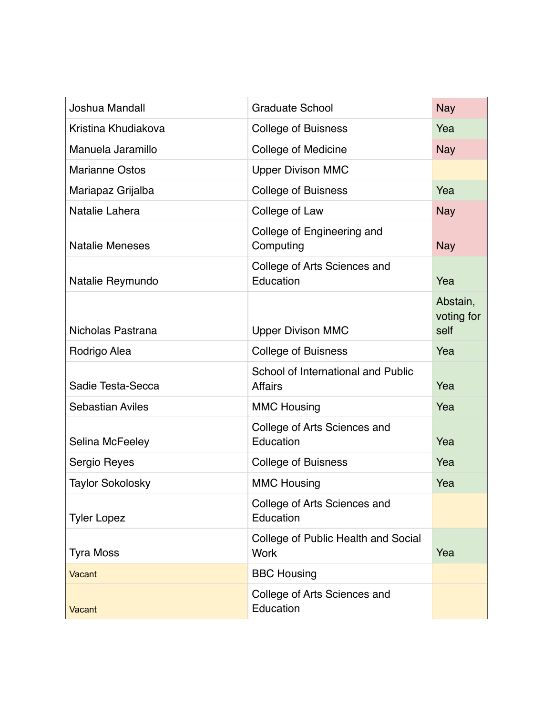| Joshua Mandall          | <b>Graduate School</b>                               | <b>Nay</b>                     |
|-------------------------|------------------------------------------------------|--------------------------------|
| Kristina Khudiakova     | <b>College of Buisness</b>                           | Yea                            |
| Manuela Jaramillo       | College of Medicine                                  | <b>Nay</b>                     |
| <b>Marianne Ostos</b>   | <b>Upper Divison MMC</b>                             |                                |
| Mariapaz Grijalba       | <b>College of Buisness</b>                           | Yea                            |
| Natalie Lahera          | College of Law                                       | <b>Nay</b>                     |
| <b>Natalie Meneses</b>  | College of Engineering and<br>Computing              | <b>Nay</b>                     |
| Natalie Reymundo        | College of Arts Sciences and<br>Education            | Yea                            |
| Nicholas Pastrana       | <b>Upper Divison MMC</b>                             | Abstain,<br>voting for<br>self |
| Rodrigo Alea            | <b>College of Buisness</b>                           | Yea                            |
| Sadie Testa-Secca       | School of International and Public<br><b>Affairs</b> | Yea                            |
| <b>Sebastian Aviles</b> | <b>MMC Housing</b>                                   | Yea                            |
| Selina McFeeley         | College of Arts Sciences and<br>Education            | Yea                            |
| Sergio Reyes            | <b>College of Buisness</b>                           | Yea                            |
| <b>Taylor Sokolosky</b> | <b>MMC Housing</b>                                   | Yea                            |
| <b>Tyler Lopez</b>      | College of Arts Sciences and<br>Education            |                                |
| <b>Tyra Moss</b>        | College of Public Health and Social<br><b>Work</b>   | Yea                            |
| Vacant                  | <b>BBC Housing</b>                                   |                                |
| Vacant                  | College of Arts Sciences and<br>Education            |                                |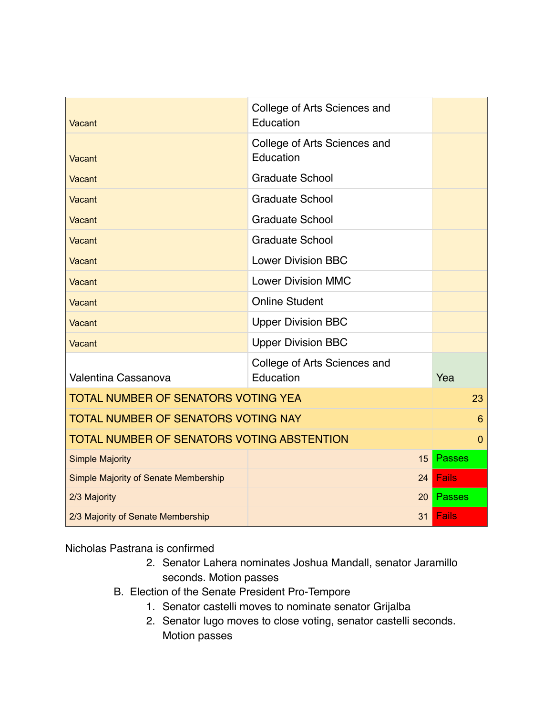| Vacant                                            | College of Arts Sciences and<br>Education |                 |
|---------------------------------------------------|-------------------------------------------|-----------------|
| Vacant                                            | College of Arts Sciences and<br>Education |                 |
| Vacant                                            | <b>Graduate School</b>                    |                 |
| Vacant                                            | <b>Graduate School</b>                    |                 |
| Vacant                                            | <b>Graduate School</b>                    |                 |
| Vacant                                            | <b>Graduate School</b>                    |                 |
| Vacant                                            | <b>Lower Division BBC</b>                 |                 |
| Vacant                                            | <b>Lower Division MMC</b>                 |                 |
| Vacant                                            | <b>Online Student</b>                     |                 |
| Vacant                                            | <b>Upper Division BBC</b>                 |                 |
| Vacant                                            | <b>Upper Division BBC</b>                 |                 |
| Valentina Cassanova                               | College of Arts Sciences and<br>Education | Yea             |
| <b>TOTAL NUMBER OF SENATORS VOTING YEA</b>        |                                           | 23              |
| TOTAL NUMBER OF SENATORS VOTING NAY               |                                           | $6\phantom{1}6$ |
| <b>TOTAL NUMBER OF SENATORS VOTING ABSTENTION</b> |                                           | $\mathbf{0}$    |
| <b>Simple Majority</b>                            | 15                                        | <b>Passes</b>   |
| Simple Majority of Senate Membership              | 24                                        | <b>Fails</b>    |
| 2/3 Majority                                      | 20                                        | <b>Passes</b>   |
| 2/3 Majority of Senate Membership                 | 31                                        | <b>Fails</b>    |

Nicholas Pastrana is confirmed

- 2. Senator Lahera nominates Joshua Mandall, senator Jaramillo seconds. Motion passes
- B. Election of the Senate President Pro-Tempore
	- 1. Senator castelli moves to nominate senator Grijalba
	- 2. Senator lugo moves to close voting, senator castelli seconds. Motion passes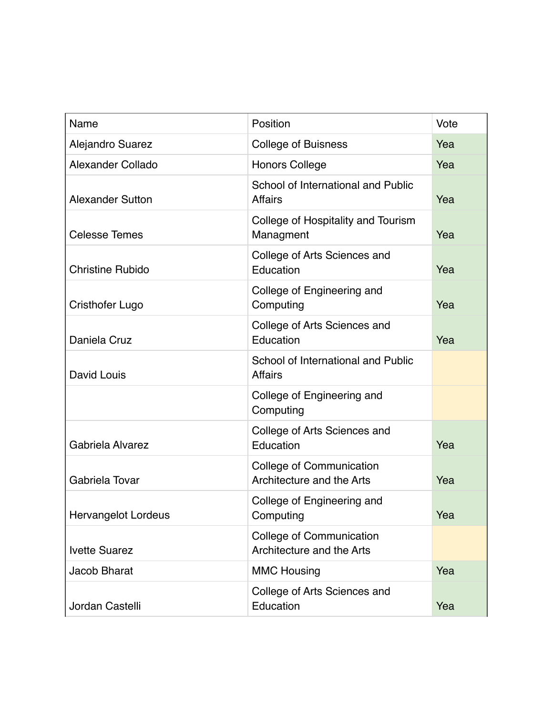| Name                     | Position                                                     | Vote |
|--------------------------|--------------------------------------------------------------|------|
| Alejandro Suarez         | <b>College of Buisness</b>                                   | Yea  |
| <b>Alexander Collado</b> | <b>Honors College</b>                                        | Yea  |
| <b>Alexander Sutton</b>  | School of International and Public<br><b>Affairs</b>         | Yea  |
| <b>Celesse Temes</b>     | College of Hospitality and Tourism<br>Managment              | Yea  |
| <b>Christine Rubido</b>  | College of Arts Sciences and<br>Education                    | Yea  |
| Cristhofer Lugo          | College of Engineering and<br>Computing                      | Yea  |
| Daniela Cruz             | College of Arts Sciences and<br>Education                    | Yea  |
| David Louis              | School of International and Public<br><b>Affairs</b>         |      |
|                          | College of Engineering and<br>Computing                      |      |
| Gabriela Alvarez         | College of Arts Sciences and<br>Education                    | Yea  |
| Gabriela Tovar           | <b>College of Communication</b><br>Architecture and the Arts | Yea  |
| Hervangelot Lordeus      | College of Engineering and<br>Computing                      | Yea  |
| <b>Ivette Suarez</b>     | <b>College of Communication</b><br>Architecture and the Arts |      |
| Jacob Bharat             | <b>MMC Housing</b>                                           | Yea  |
| Jordan Castelli          | College of Arts Sciences and<br>Education                    | Yea  |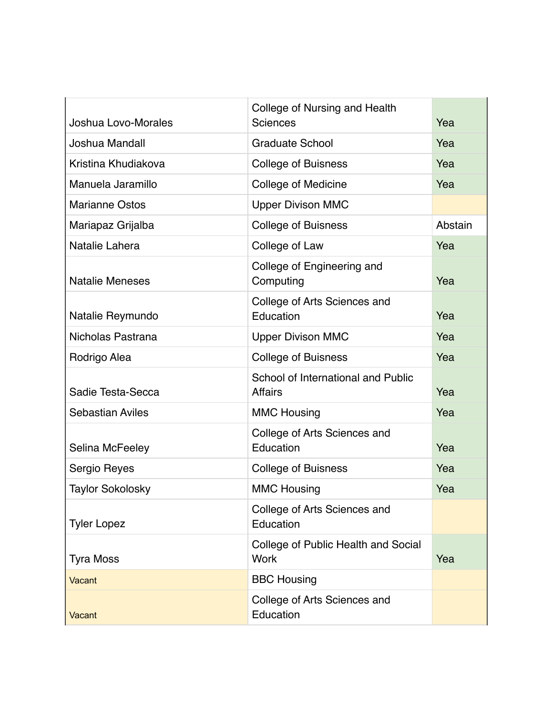| Joshua Lovo-Morales     | College of Nursing and Health<br>Sciences            | Yea     |
|-------------------------|------------------------------------------------------|---------|
| Joshua Mandall          | <b>Graduate School</b>                               | Yea     |
| Kristina Khudiakova     | <b>College of Buisness</b>                           | Yea     |
| Manuela Jaramillo       | College of Medicine                                  | Yea     |
| <b>Marianne Ostos</b>   | <b>Upper Divison MMC</b>                             |         |
| Mariapaz Grijalba       | <b>College of Buisness</b>                           | Abstain |
| Natalie Lahera          | College of Law                                       | Yea     |
| <b>Natalie Meneses</b>  | College of Engineering and<br>Computing              | Yea     |
| Natalie Reymundo        | College of Arts Sciences and<br>Education            | Yea     |
| Nicholas Pastrana       | <b>Upper Divison MMC</b>                             | Yea     |
| Rodrigo Alea            | <b>College of Buisness</b>                           | Yea     |
| Sadie Testa-Secca       | School of International and Public<br><b>Affairs</b> | Yea     |
| <b>Sebastian Aviles</b> | <b>MMC Housing</b>                                   | Yea     |
| Selina McFeeley         | College of Arts Sciences and<br>Education            | Yea     |
| Sergio Reyes            | <b>College of Buisness</b>                           | Yea     |
| <b>Taylor Sokolosky</b> | <b>MMC Housing</b>                                   | Yea     |
| <b>Tyler Lopez</b>      | College of Arts Sciences and<br>Education            |         |
| <b>Tyra Moss</b>        | College of Public Health and Social<br><b>Work</b>   | Yea     |
| <b>Vacant</b>           | <b>BBC Housing</b>                                   |         |
| Vacant                  | College of Arts Sciences and<br>Education            |         |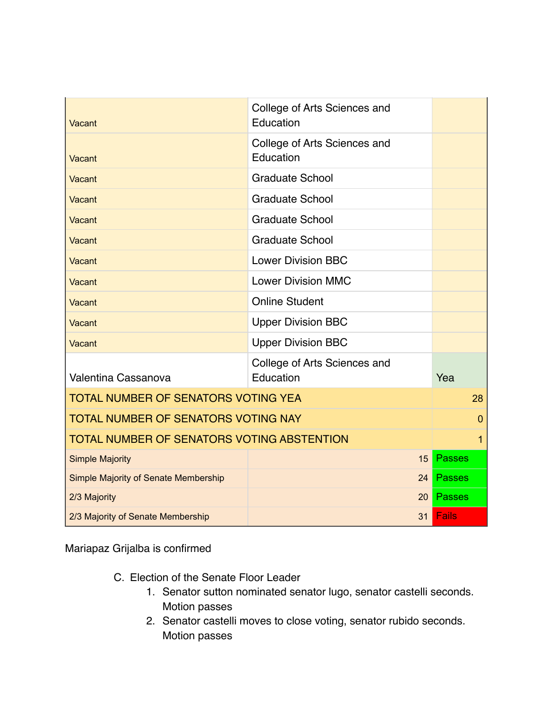| Vacant                                     | College of Arts Sciences and<br>Education |                |
|--------------------------------------------|-------------------------------------------|----------------|
| Vacant                                     | College of Arts Sciences and<br>Education |                |
| Vacant                                     | <b>Graduate School</b>                    |                |
| Vacant                                     | <b>Graduate School</b>                    |                |
| Vacant                                     | <b>Graduate School</b>                    |                |
| Vacant                                     | <b>Graduate School</b>                    |                |
| Vacant                                     | <b>Lower Division BBC</b>                 |                |
| Vacant                                     | <b>Lower Division MMC</b>                 |                |
| Vacant                                     | <b>Online Student</b>                     |                |
| Vacant                                     | <b>Upper Division BBC</b>                 |                |
| Vacant                                     | <b>Upper Division BBC</b>                 |                |
| Valentina Cassanova                        | College of Arts Sciences and<br>Education | Yea            |
| <b>TOTAL NUMBER OF SENATORS VOTING YEA</b> |                                           | 28             |
| <b>TOTAL NUMBER OF SENATORS VOTING NAY</b> |                                           | $\overline{0}$ |
| TOTAL NUMBER OF SENATORS VOTING ABSTENTION |                                           | 1              |
| <b>Simple Majority</b>                     | 15                                        | <b>Passes</b>  |
| Simple Majority of Senate Membership       | 24                                        | <b>Passes</b>  |
| 2/3 Majority                               | 20                                        | <b>Passes</b>  |
| 2/3 Majority of Senate Membership          | 31                                        | <b>Fails</b>   |

Mariapaz Grijalba is confirmed

- C. Election of the Senate Floor Leader
	- 1. Senator sutton nominated senator lugo, senator castelli seconds. Motion passes
	- 2. Senator castelli moves to close voting, senator rubido seconds. Motion passes